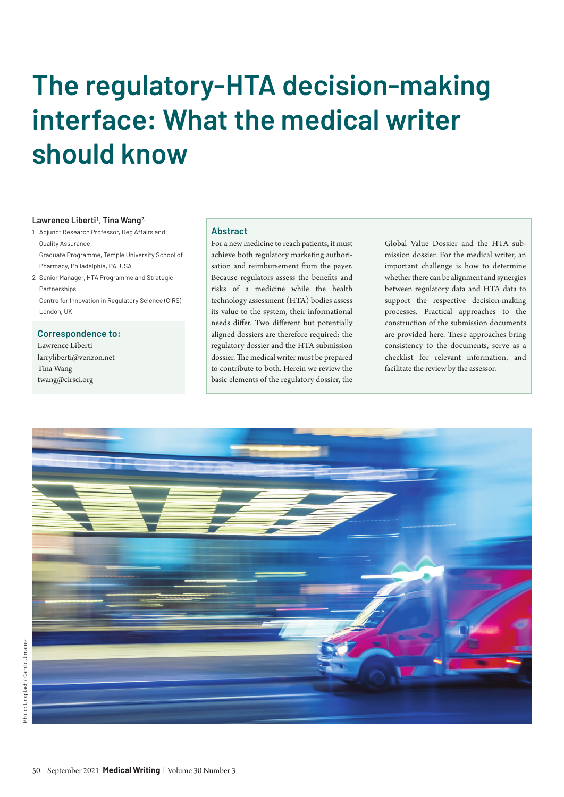# **The regulatory-HTA decision-making interface: What the medical writer should know**

### **Lawrence Liberti**1**, Tina Wang**2

1 Adjunct Research Professor, Reg Affairs and Quality Assurance Graduate Programme, Temple University School of Pharmacy, Philadelphia, PA, USA 2 Senior Manager, HTA Programme and Strategic

Partnerships Centre for Innovation in Regulatory Science (CIRS), London, UK

**Correspondence to:** 

Lawrence Liberti larryliberti@verizon.net Tina Wang twang@cirsci.org

### **Abstract**

For a new medicine to reach patients, it must achieve both regulatory marketing authorisation and reimbursement from the payer. Because regulators assess the benefits and risks of a medicine while the health technology assessment (HTA) bodies assess its value to the system, their informational needs differ. Two different but potentially aligned dossiers are therefore required: the regulatory dossier and the HTA submission dossier. The medical writer must be prepared to contribute to both. Herein we review the basic elements of the regulatory dossier, the

Global Value Dossier and the HTA submission dossier. For the medical writer, an important challenge is how to determine whether there can be alignment and synergies between regulatory data and HTA data to support the respective decision-making processes. Practical approaches to the construction of the submission documents are provided here. These approaches bring consistency to the documents, serve as a checklist for relevant information, and facilitate the review by the assessor.

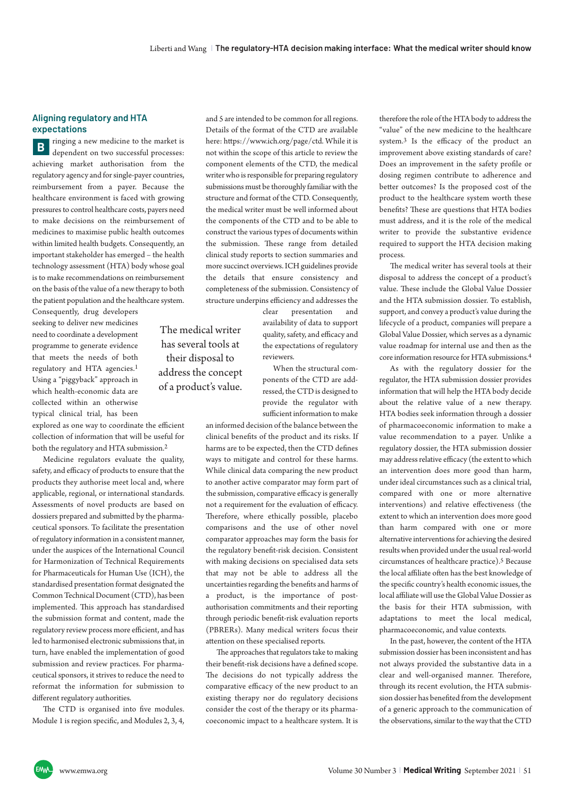## **Aligning regulatory and HTA expectations**

**B** dependent on two successful processes: achieving market authorisation from the regulatory agency and for single-payer countries, reimbursement from a payer. Because the healthcare environment is faced with growing pressures to control healthcare costs, payers need to make decisions on the reimbursement of medicines to maximise public health outcomes within limited health budgets. Consequently, an important stakeholder has emerged – the health technology assessment (HTA) body whose goal is to make recommendations on reimbursement on the basis of the value of a new therapy to both the patient population and the healthcare system.

Consequently, drug developers seeking to deliver new medicines need to coordinate a development programme to generate evidence that meets the needs of both regulatory and HTA agencies.1 Using a "piggyback" approach in which health-economic data are collected within an otherwise typical clinical trial, has been

explored as one way to coordinate the efficient collection of information that will be useful for both the regulatory and HTA submission.2

Medicine regulators evaluate the quality, safety, and efficacy of products to ensure that the products they authorise meet local and, where applicable, regional, or international standards. Assessments of novel products are based on dossiers prepared and submitted by the pharmaceutical sponsors. To facilitate the presentation of regulatory information in a consistent manner, under the auspices of the International Council for Harmonization of Technical Requirements for Pharmaceuticals for Human Use (ICH), the standardised presentation format designated the Common Technical Document (CTD), has been implemented. This approach has standardised the submission format and content, made the regulatory review process more efficient, and has led to harmonised electronic submissions that, in turn, have enabled the implementation of good submission and review practices. For pharmaceutical sponsors, it strives to reduce the need to reformat the information for submission to different regulatory authorities.

The CTD is organised into five modules. Module 1 is region specific, and Modules 2, 3, 4, and 5 are intended to be common for all regions. Details of the format of the CTD are available here: https://www.ich.org/page/ctd. While it is not within the scope of this article to review the component elements of the CTD, the medical writer who is responsible for preparing regulatory submissions must be thoroughly familiar with the structure and format of the CTD. Consequently, the medical writer must be well informed about the components of the CTD and to be able to construct the various types of documents within the submission. These range from detailed clinical study reports to section summaries and more succinct overviews. ICH guidelines provide the details that ensure consistency and completeness of the submission. Consistency of structure underpins efficiency and addresses the

The medical writer has several tools at their disposal to address the concept of a product's value. clear presentation and availability of data to support quality, safety, and efficacy and the expectations of regulatory reviewers.

When the structural components of the CTD are addressed, the CTD is designed to provide the regulator with sufficient information to make

an informed decision of the balance between the clinical benefits of the product and its risks. If harms are to be expected, then the CTD defines ways to mitigate and control for these harms. While clinical data comparing the new product to another active comparator may form part of the submission, comparative efficacy is generally not a requirement for the evaluation of efficacy. Therefore, where ethically possible, placebo comparisons and the use of other novel comparator approaches may form the basis for the regulatory benefit-risk decision. Consistent with making decisions on specialised data sets that may not be able to address all the uncertainties regarding the benefits and harms of a product, is the importance of postauthorisation commitments and their reporting through periodic benefit-risk evaluation reports (PBRERs). Many medical writers focus their attention on these specialised reports.

The approaches that regulators take to making their benefit-risk decisions have a defined scope. The decisions do not typically address the comparative efficacy of the new product to an existing therapy nor do regulatory decisions consider the cost of the therapy or its pharmacoeconomic impact to a healthcare system. It is therefore the role of the HTA body to address the "value" of the new medicine to the healthcare system.3 Is the efficacy of the product an improvement above existing standards of care? Does an improvement in the safety profile or dosing regimen contribute to adherence and better outcomes? Is the proposed cost of the product to the healthcare system worth these benefits? These are questions that HTA bodies must address, and it is the role of the medical writer to provide the substantive evidence required to support the HTA decision making process.

The medical writer has several tools at their disposal to address the concept of a product's value. These include the Global Value Dossier and the HTA submission dossier. To establish, support, and convey a product's value during the lifecycle of a product, companies will prepare a Global Value Dossier, which serves as a dynamic value roadmap for internal use and then as the core information resource for HTA submissions.4

As with the regulatory dossier for the regulator, the HTA submission dossier provides information that will help the HTA body decide about the relative value of a new therapy. HTA bodies seek information through a dossier of pharmacoeconomic information to make a value recommendation to a payer. Unlike a regulatory dossier, the HTA submission dossier may address relative efficacy (the extent to which an intervention does more good than harm, under ideal circumstances such as a clinical trial, compared with one or more alternative interventions) and relative effectiveness (the extent to which an intervention does more good than harm compared with one or more alternative interventions for achieving the desired results when provided under the usual real-world circumstances of healthcare practice).5 Because the local affiliate often has the best knowledge of the specific country's health economic issues, the local affiliate will use the Global Value Dossier as the basis for their HTA submission, with adaptations to meet the local medical, pharmacoeconomic, and value contexts.

In the past, however, the content of the HTA submission dossier has been inconsistent and has not always provided the substantive data in a clear and well-organised manner. Therefore, through its recent evolution, the HTA submission dossier has benefited from the development of a generic approach to the communication of the observations, similar to the way that the CTD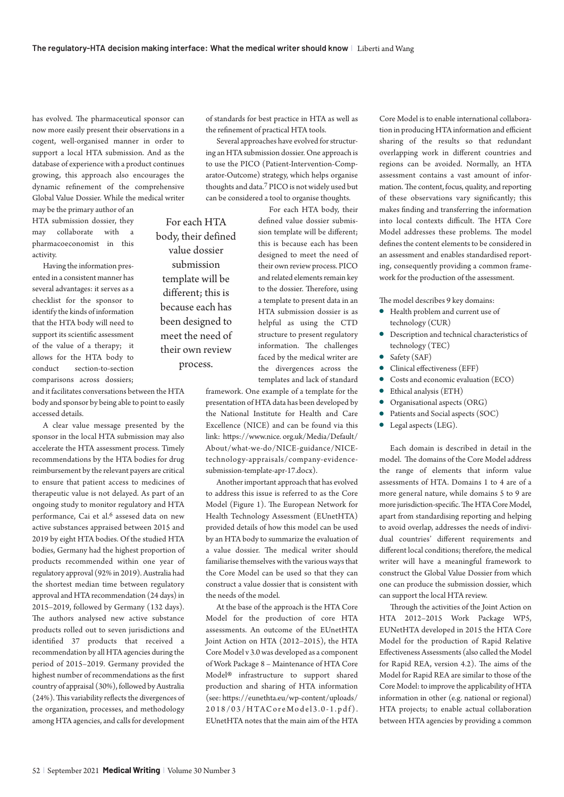has evolved. The pharmaceutical sponsor can now more easily present their observations in a cogent, well-organised manner in order to support a local HTA submission. And as the database of experience with a product continues growing, this approach also encourages the dynamic refinement of the comprehensive Global Value Dossier. While the medical writer

may be the primary author of an HTA submission dossier, they may collaborate with a pharmacoeconomist in this activity.

Having the information presented in a consistent manner has several advantages: it serves as a checklist for the sponsor to identify the kinds of information that the HTA body will need to support its scientific assessment of the value of a therapy; it allows for the HTA body to conduct section-to-section comparisons across dossiers;

and it facilitates conversations between the HTA body and sponsor by being able to point to easily accessed details.

A clear value message presented by the sponsor in the local HTA submission may also accelerate the HTA assessment process. Timely recommendations by the HTA bodies for drug reimbursement by the relevant payers are critical to ensure that patient access to medicines of therapeutic value is not delayed. As part of an ongoing study to monitor regulatory and HTA performance, Cai et al.<sup>6</sup> assesed data on new active substances appraised between 2015 and 2019 by eight HTA bodies. Of the studied HTA bodies, Germany had the highest proportion of products recommended within one year of regulatory approval (92% in 2019). Australia had the shortest median time between regulatory approval and HTA recommendation (24 days) in 2015–2019, followed by Germany (132 days). The authors analysed new active substance products rolled out to seven jurisdictions and identified 37 products that received a recommendation by all HTA agencies during the period of 2015–2019. Germany provided the highest number of recommendations as the first country of appraisal (30%), followed by Australia (24%). This variability reflects the divergences of the organization, processes, and methodology among HTA agencies, and calls for development of standards for best practice in HTA as well as the refinement of practical HTA tools.

Several approaches have evolved for structuring an HTA submission dossier. One approach is to use the PICO (Patient-Intervention-Comparator-Outcome) strategy, which helps organise thoughts and data.7 PICO is not widely used but can be considered a tool to organise thoughts.

For each HTA body, their defined value dossier submission template will be different; this is because each has been designed to meet the need of their own review process.

For each HTA body, their defined value dossier submission template will be different; this is because each has been designed to meet the need of their own review process. PICO and related elements remain key to the dossier. Therefore, using a template to present data in an HTA submission dossier is as helpful as using the CTD structure to present regulatory information. The challenges faced by the medical writer are the divergences across the templates and lack of standard

framework. One example of a template for the presentation of HTA data has been developed by the National Institute for Health and Care Excellence (NICE) and can be found via this link: https://www.nice. org.uk/Media/Default/ About/what-we-do/NICE-guidance/NICEtechnology-appraisals/company-evidencesubmission-template-apr-17.docx).

Another important approach that has evolved to address this issue is referred to as the Core Model (Figure 1). The European Network for Health Technology Assessment (EUnetHTA) provided details of how this model can be used by an HTA body to summarize the evaluation of a value dossier. The medical writer should familiarise themselves with the various ways that the Core Model can be used so that they can construct a value dossier that is consistent with the needs of the model.

At the base of the approach is the HTA Core Model for the production of core HTA assessments. An outcome of the EUnetHTA Joint Action on HTA (2012–2015), the HTA Core Model v 3.0 was developed as a component of Work Package 8 – Maintenance of HTA Core Model® infrastructure to support shared production and sharing of HTA information (see: https://eunethta.eu/wp-content/uploads/ 2018/03/HTACoreModel3.0-1.pdf). EUnetHTA notes that the main aim of the HTA Core Model is to enable international collaboration in producing HTA information and efficient sharing of the results so that redundant overlapping work in different countries and regions can be avoided. Normally, an HTA assessment contains a vast amount of information. The content, focus, quality, and reporting of these observations vary significantly; this makes finding and transferring the information into local contexts difficult. The HTA Core Model addresses these problems. The model defines the content elements to be considered in an assessment and enables standardised reporting, consequently providing a common framework for the production of the assessment.

The model describes 9 key domains:

- **•** Health problem and current use of technology (CUR)
- **•** Description and technical characteristics of technology (TEC)
- $\bullet$  Safety (SAF)
- **·** Clinical effectiveness (EFF)
	- **•** Costs and economic evaluation (ECO)
- $\bullet$  Ethical analysis (ETH)
- **•** Organisational aspects (ORG)
- Patients and Social aspects (SOC)
- $\bullet$  Legal aspects (LEG).

Each domain is described in detail in the model. The domains of the Core Model address the range of elements that inform value assessments of HTA. Domains 1 to 4 are of a more general nature, while domains 5 to 9 are more jurisdiction-specific. The HTA Core Model, apart from standardising reporting and helping to avoid overlap, addresses the needs of individual countries' different requirements and different local conditions; therefore, the medical writer will have a meaningful framework to construct the Global Value Dossier from which one can produce the submission dossier, which can support the local HTA review.

Through the activities of the Joint Action on HTA 2012–2015 Work Package WP5, EUNetHTA developed in 2015 the HTA Core Model for the production of Rapid Relative Effectiveness Assessments (also called the Model for Rapid REA, version 4.2). The aims of the Model for Rapid REA are similar to those of the Core Model: to improve the applicability of HTA information in other (e.g. national or regional) HTA projects; to enable actual collaboration between HTA agencies by providing a common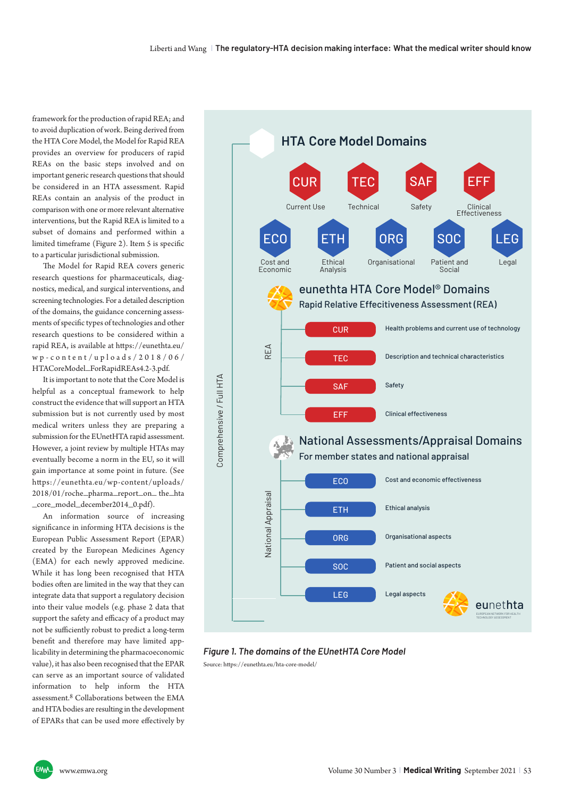framework for the production of rapid REA; and to avoid duplication of work. Being derived from the HTA Core Model, the Model for Rapid REA provides an overview for producers of rapid REAs on the basic steps involved and on important generic research questions that should be considered in an HTA assessment. Rapid REAs contain an analysis of the product in comparison with one or more relevant alternative interventions, but the Rapid REA is limited to a subset of domains and performed within a limited timeframe (Figure 2). Item 5 is specific to a particular jurisdictional submission.

The Model for Rapid REA covers generic research questions for pharmaceuticals, diagnostics, medical, and surgical interventions, and screening technologies. For a detailed description of the domains, the guidance concerning assess ments of specific types of technologies and other research questions to be considered within a rapid REA, is available at https://eunethta.eu/ w p - c o n t e n t / u p l o a d s / 2 0 1 8 / 0 6 / HTACoreModel\_ForRapidREAs4.2-3.pdf.

It is important to note that the Core Model is helpful as a conceptual framework to help construct the evidence that will support an HTA submission but is not currently used by most medical writers unless they are preparing a submission for the EUnetHTA rapid assessment. However, a joint review by multiple HTAs may eventually become a norm in the EU, so it will gain importance at some point in future. (See https://eunethta.eu/wp-content/uploads/ 2018/01/roche\_pharma\_report\_on\_ the\_hta \_core\_model\_december2014\_0.pdf).

An information source of increasing significance in informing HTA decisions is the European Public Assessment Report (EPAR) created by the European Medicines Agency (EMA) for each newly approved medicine. While it has long been recognised that HTA bodies often are limited in the way that they can integrate data that support a regulatory decision into their value models (e.g. phase 2 data that support the safety and efficacy of a product may not be sufficiently robust to predict a long-term benefit and therefore may have limited applicability in determining the pharmacoeconomic value), it has also been recognised that the EPAR can serve as an important source of validated information to help inform the HTA assessment.<sup>8</sup> Collaborations between the EMA and HTA bodies are resulting in the development of EPARs that can be used more effectively by



*Figure 1. The domains of the EUnetHTA Core Model* Source: https://eunethta.eu/hta-core-model/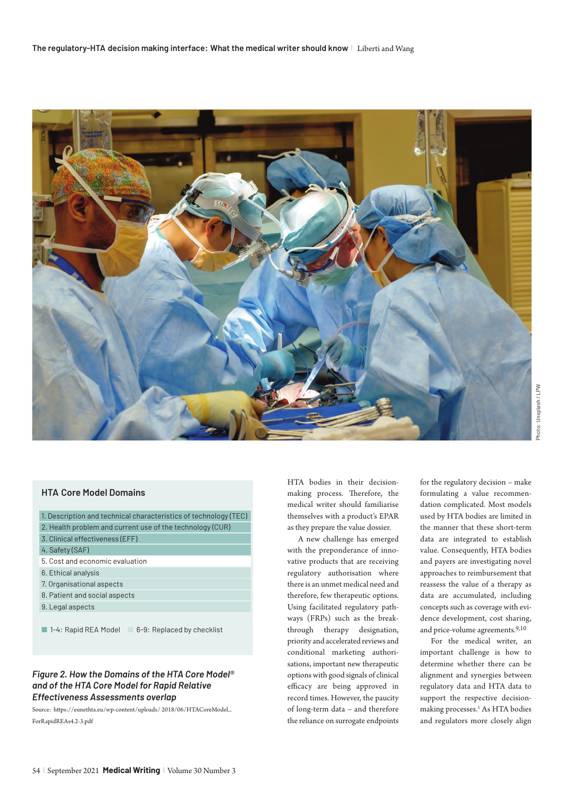

# **HTA Core Model Domains**

1. Description and technical characteristics of technology (TEC) 2. Health problem and current use of the technology (CUR)

- 3. Clinical effectiveness (EFF)
- 4. Safety (SAF)
- 5. Cost and economic evaluation
- 6. Ethical analysis
- 7. Organisational aspects
- 8. Patient and social aspects
- 9. Legal aspects
- $\blacksquare$  1-4: Rapid REA Model  $\blacksquare$  6-9: Replaced by checklist

# *Figure 2. How the Domains of the HTA Core Model® and of the HTA Core Model for Rapid Relative Effectiveness Assessments overlap*

Source: https://eunethta.eu/wp-content/uploads/ 2018/06/HTACoreModel\_ ForRapidREAs4.2-3.pdf

HTA bodies in their decisionmaking process. Therefore, the medical writer should familiarise themselves with a product's EPAR as they prepare the value dossier.

A new challenge has emerged with the preponderance of innovative products that are receiving regulatory authorisation where there is an unmet medical need and therefore, few therapeutic options. Using facilitated regulatory pathways (FRPs) such as the breakthrough therapy designation, priority and accelerated reviews and conditional marketing authorisations, important new therapeutic options with good signals of clinical efficacy are being approved in record times. However, the paucity of long-term data – and therefore the reliance on surrogate endpoints

for the regulatory decision – make formulating a value recommendation complicated. Most models used by HTA bodies are limited in the manner that these short-term data are integrated to establish value. Consequently, HTA bodies and payers are investigating novel approaches to reimbursement that reassess the value of a therapy as data are accumulated, including concepts such as coverage with evidence development, cost sharing, and price-volume agreements.9,10

For the medical writer, an important challenge is how to determine whether there can be alignment and synergies between regulatory data and HTA data to support the respective decisionmaking processes.<sup>1</sup> As HTA bodies and regulators more closely align